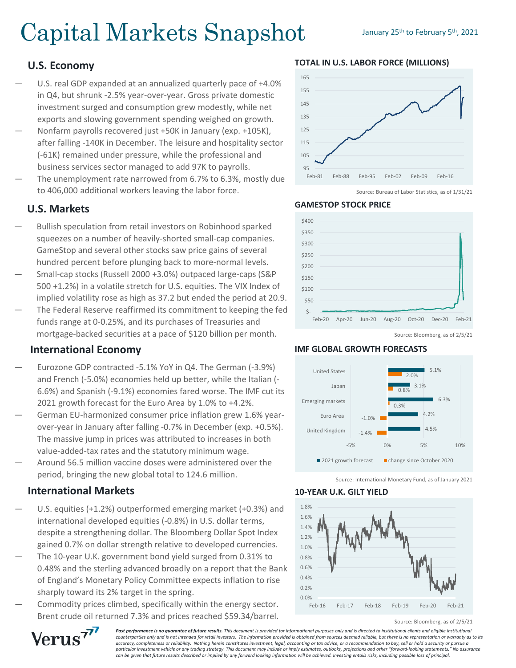# Capital Markets Snapshot January 25th to February 5th, 2021

# **U.S. Economy**

- U.S. real GDP expanded at an annualized quarterly pace of +4.0% in Q4, but shrunk -2.5% year-over-year. Gross private domestic investment surged and consumption grew modestly, while net exports and slowing government spending weighed on growth.
- Nonfarm payrolls recovered just +50K in January (exp. +105K), after falling -140K in December. The leisure and hospitality sector (-61K) remained under pressure, while the professional and business services sector managed to add 97K to payrolls.
- The unemployment rate narrowed from 6.7% to 6.3%, mostly due to 406,000 additional workers leaving the labor force.

# **U.S. Markets**

- Bullish speculation from retail investors on Robinhood sparked squeezes on a number of heavily-shorted small-cap companies. GameStop and several other stocks saw price gains of several hundred percent before plunging back to more-normal levels.
- Small-cap stocks (Russell 2000 +3.0%) outpaced large-caps (S&P 500 +1.2%) in a volatile stretch for U.S. equities. The VIX Index of implied volatility rose as high as 37.2 but ended the period at 20.9.
- The Federal Reserve reaffirmed its commitment to keeping the fed funds range at 0-0.25%, and its purchases of Treasuries and mortgage-backed securities at a pace of \$120 billion per month.

## **International Economy**

- Eurozone GDP contracted -5.1% YoY in Q4. The German (-3.9%) and French (-5.0%) economies held up better, while the Italian (- 6.6%) and Spanish (-9.1%) economies fared worse. The IMF cut its 2021 growth forecast for the Euro Area by 1.0% to +4.2%.
- German EU-harmonized consumer price inflation grew 1.6% yearover-year in January after falling -0.7% in December (exp. +0.5%). The massive jump in prices was attributed to increases in both value-added-tax rates and the statutory minimum wage.
- Around 56.5 million vaccine doses were administered over the period, bringing the new global total to 124.6 million.

## **International Markets**

Verus<sup>77</sup>

- U.S. equities (+1.2%) outperformed emerging market (+0.3%) and international developed equities (-0.8%) in U.S. dollar terms, despite a strengthening dollar. The Bloomberg Dollar Spot Index gained 0.7% on dollar strength relative to developed currencies.
- The 10-year U.K. government bond yield surged from 0.31% to 0.48% and the sterling advanced broadly on a report that the Bank of England's Monetary Policy Committee expects inflation to rise sharply toward its 2% target in the spring.
- Commodity prices climbed, specifically within the energy sector. Brent crude oil returned 7.3% and prices reached \$59.34/barrel.



**TOTAL IN U.S. LABOR FORCE (MILLIONS)**

Source: Bureau of Labor Statistics, as of 1/31/21



#### Source: Bloomberg, as of 2/5/21

#### **IMF GLOBAL GROWTH FORECASTS**

**GAMESTOP STOCK PRICE**



Source: International Monetary Fund, as of January 2021

#### **10-YEAR U.K. GILT YIELD**



Source: Bloomberg, as of 2/5/21

**Past performance is no quarantee of future results.** This document is provided for informational purposes only and is directed to institutional clients and eligible institutional *counterparties only and is not intended for retail investors. The information provided is obtained from sources deemed reliable, but there is no representation or warranty as to its accuracy, completeness or reliability. Nothing herein constitutes investment, legal, accounting or tax advice, or a recommendation to buy, sell or hold a security or pursue a particular investment vehicle or any trading strategy. This document may include or imply estimates, outlooks, projections and other "forward-looking statements." No assurance can be given that future results described or implied by any forward looking information will be achieved. Investing entails risks, including possible loss of principal.*